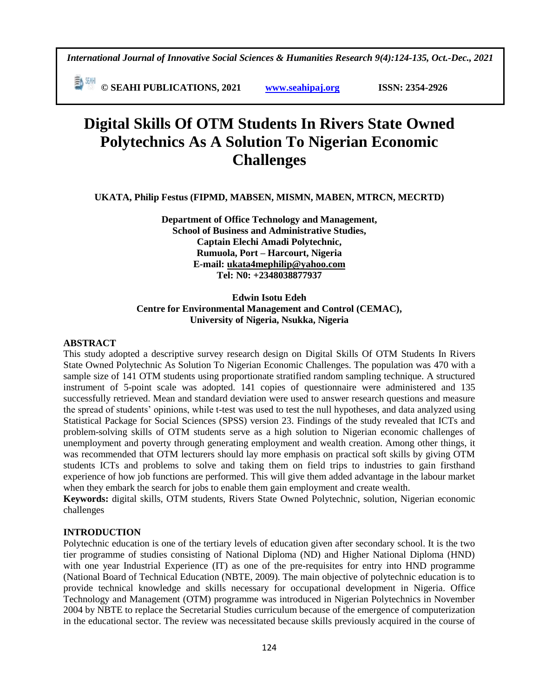*International Journal of Innovative Social Sciences & Humanities Research 9(4):124-135, Oct.-Dec., 2021*

 **© SEAHI PUBLICATIONS, 2021 [www.seahipaj.org](http://www.seahipaj.org/) ISSN: 2354-2926** 

# **Digital Skills Of OTM Students In Rivers State Owned Polytechnics As A Solution To Nigerian Economic Challenges**

**UKATA, Philip Festus (FIPMD, MABSEN, MISMN, MABEN, MTRCN, MECRTD)**

**Department of Office Technology and Management, School of Business and Administrative Studies, Captain Elechi Amadi Polytechnic, Rumuola, Port – Harcourt, Nigeria E-mail: [ukata4mephilip@yahoo.com](mailto:ukata4mephilip@yahoo.com) Tel: N0: +2348038877937**

### **Edwin Isotu Edeh Centre for Environmental Management and Control (CEMAC), University of Nigeria, Nsukka, Nigeria**

#### **ABSTRACT**

This study adopted a descriptive survey research design on Digital Skills Of OTM Students In Rivers State Owned Polytechnic As Solution To Nigerian Economic Challenges. The population was 470 with a sample size of 141 OTM students using proportionate stratified random sampling technique. A structured instrument of 5-point scale was adopted. 141 copies of questionnaire were administered and 135 successfully retrieved. Mean and standard deviation were used to answer research questions and measure the spread of students' opinions, while t-test was used to test the null hypotheses, and data analyzed using Statistical Package for Social Sciences (SPSS) version 23. Findings of the study revealed that ICTs and problem-solving skills of OTM students serve as a high solution to Nigerian economic challenges of unemployment and poverty through generating employment and wealth creation. Among other things, it was recommended that OTM lecturers should lay more emphasis on practical soft skills by giving OTM students ICTs and problems to solve and taking them on field trips to industries to gain firsthand experience of how job functions are performed. This will give them added advantage in the labour market when they embark the search for jobs to enable them gain employment and create wealth.

**Keywords:** digital skills, OTM students, Rivers State Owned Polytechnic, solution, Nigerian economic challenges

## **INTRODUCTION**

Polytechnic education is one of the tertiary levels of education given after secondary school. It is the two tier programme of studies consisting of National Diploma (ND) and Higher National Diploma (HND) with one year Industrial Experience (IT) as one of the pre-requisites for entry into HND programme (National Board of Technical Education (NBTE, 2009). The main objective of polytechnic education is to provide technical knowledge and skills necessary for occupational development in Nigeria. Office Technology and Management (OTM) programme was introduced in Nigerian Polytechnics in November 2004 by NBTE to replace the Secretarial Studies curriculum because of the emergence of computerization in the educational sector. The review was necessitated because skills previously acquired in the course of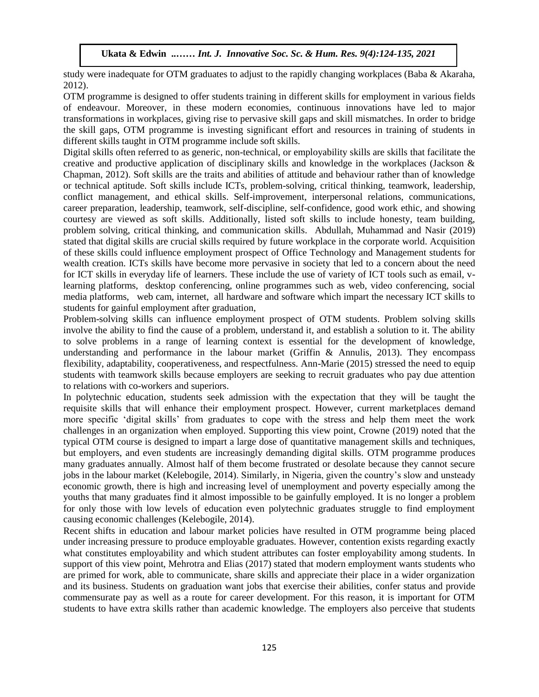study were inadequate for OTM graduates to adjust to the rapidly changing workplaces (Baba & Akaraha, 2012). Arugu & Wosu …… Int. J. Innovative Soc. Sc. & Hum. Res. 8(1):1-11, 2020

OTM programme is designed to offer students training in different skills for employment in various fields of endeavour. Moreover, in these modern economies, continuous innovations have led to major transformations in workplaces, giving rise to pervasive skill gaps and skill mismatches. In order to bridge the skill gaps, OTM programme is investing significant effort and resources in training of students in different skills taught in OTM programme include soft skills.

Digital skills often referred to as generic, non-technical, or employability skills are skills that facilitate the creative and productive application of disciplinary skills and knowledge in the workplaces (Jackson & Chapman, 2012). Soft skills are the traits and abilities of attitude and behaviour rather than of knowledge or technical aptitude. Soft skills include ICTs, problem-solving, critical thinking, teamwork, leadership, conflict management, and ethical skills. Self-improvement, interpersonal relations, communications, career preparation, leadership, teamwork, self-discipline, self-confidence, good work ethic, and showing courtesy are viewed as soft skills. Additionally, listed soft skills to include honesty, team building, problem solving, critical thinking, and communication skills. Abdullah, Muhammad and Nasir (2019) stated that digital skills are crucial skills required by future workplace in the corporate world. Acquisition of these skills could influence employment prospect of Office Technology and Management students for wealth creation. ICTs skills have become more pervasive in society that led to a concern about the need  $\frac{1}{2}$ for ICT skills in everyday life of learners. These include the use of variety of ICT tools such as email, vlearning platforms, desktop conferencing, online programmes such as web, video conferencing, social media platforms, web cam, internet, all hardware and software which impart the necessary ICT skills to students for gainful employment after graduation,  $\frac{1}{100}$  around the Mondon Society and Society Society Society Society Society Array and Res. 8,  $\frac{1}{100}$ 

Problem-solving skills can influence employment prospect of OTM students. Problem solving skills involve the ability to find the cause of a problem, understand it, and establish a solution to it. The ability to solve problems in a range of learning context is essential for the development of knowledge, understanding and performance in the labour market (Griffin & Annulis, 2013). They encompass flexibility, adaptability, cooperativeness, and respectfulness. Ann-Marie (2015) stressed the need to equip students with teamwork skills because employers are seeking to recruit graduates who pay due attention to relations with co-workers and superiors.

In polytechnic education, students seek admission with the expectation that they will be taught the requisite skills that will enhance their employment prospect. However, current marketplaces demand more specific 'digital skills' from graduates to cope with the stress and help them meet the work challenges in an organization when employed. Supporting this view point, Crowne (2019) noted that the typical OTM course is designed to impart a large dose of quantitative management skills and techniques, but employers, and even students are increasingly demanding digital skills. OTM programme produces many graduates annually. Almost half of them become frustrated or desolate because they cannot secure jobs in the labour market (Kelebogile, 2014). Similarly, in Nigeria, given the country's slow and unsteady economic growth, there is high and increasing level of unemployment and poverty especially among the youths that many graduates find it almost impossible to be gainfully employed. It is no longer a problem for only those with low levels of education even polytechnic graduates struggle to find employment causing economic challenges (Kelebogile, 2014).

Recent shifts in education and labour market policies have resulted in OTM programme being placed under increasing pressure to produce employable graduates. However, contention exists regarding exactly what constitutes employability and which student attributes can foster employability among students. In support of this view point, Mehrotra and Elias (2017) stated that modern employment wants students who are primed for work, able to communicate, share skills and appreciate their place in a wider organization and its business. Students on graduation want jobs that exercise their abilities, confer status and provide commensurate pay as well as a route for career development. For this reason, it is important for OTM students to have extra skills rather than academic knowledge. The employers also perceive that students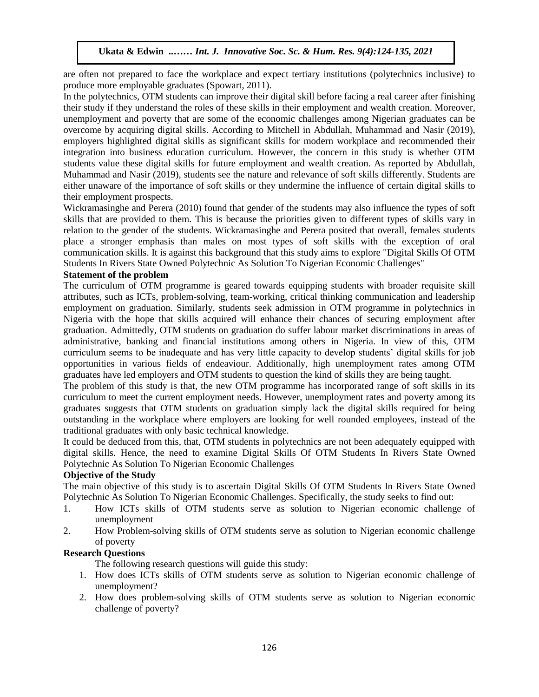are often not prepared to face the workplace and expect tertiary institutions (polytechnics inclusive) to produce more employable graduates (Spowart, 2011).

In the polytechnics, OTM students can improve their digital skill before facing a real career after finishing their study if they understand the roles of these skills in their employment and wealth creation. Moreover, unemployment and poverty that are some of the economic challenges among Nigerian graduates can be overcome by acquiring digital skills. According to Mitchell in Abdullah, Muhammad and Nasir (2019), employers highlighted digital skills as significant skills for modern workplace and recommended their integration into business education curriculum. However, the concern in this study is whether OTM students value these digital skills for future employment and wealth creation. As reported by Abdullah, Muhammad and Nasir (2019), students see the nature and relevance of soft skills differently. Students are either unaware of the importance of soft skills or they undermine the influence of certain digital skills to their employment prospects.

Wickramasinghe and Perera (2010) found that gender of the students may also influence the types of soft skills that are provided to them. This is because the priorities given to different types of skills vary in relation to the gender of the students. Wickramasinghe and Perera posited that overall, females students place a stronger emphasis than males on most types of soft skills with the exception of oral communication skills. It is against this background that this study aims to explore "Digital Skills Of OTM Students In Rivers State Owned Polytechnic As Solution To Nigerian Economic Challenges"

#### **Statement of the problem**

The curriculum of OTM programme is geared towards equipping students with broader requisite skill attributes, such as ICTs, problem-solving, team-working, critical thinking communication and leadership employment on graduation. Similarly, students seek admission in OTM programme in polytechnics in Nigeria with the hope that skills acquired will enhance their chances of securing employment after graduation. Admittedly, OTM students on graduation do suffer labour market discriminations in areas of administrative, banking and financial institutions among others in Nigeria. In view of this, OTM curriculum seems to be inadequate and has very little capacity to develop students' digital skills for job opportunities in various fields of endeaviour. Additionally, high unemployment rates among OTM graduates have led employers and OTM students to question the kind of skills they are being taught.

The problem of this study is that, the new OTM programme has incorporated range of soft skills in its curriculum to meet the current employment needs. However, unemployment rates and poverty among its graduates suggests that OTM students on graduation simply lack the digital skills required for being outstanding in the workplace where employers are looking for well rounded employees, instead of the traditional graduates with only basic technical knowledge.

It could be deduced from this, that, OTM students in polytechnics are not been adequately equipped with digital skills. Hence, the need to examine Digital Skills Of OTM Students In Rivers State Owned Polytechnic As Solution To Nigerian Economic Challenges

#### **Objective of the Study**

The main objective of this study is to ascertain Digital Skills Of OTM Students In Rivers State Owned Polytechnic As Solution To Nigerian Economic Challenges. Specifically, the study seeks to find out:

- 1. How ICTs skills of OTM students serve as solution to Nigerian economic challenge of unemployment
- 2. How Problem-solving skills of OTM students serve as solution to Nigerian economic challenge of poverty

### **Research Questions**

The following research questions will guide this study:

- 1. How does ICTs skills of OTM students serve as solution to Nigerian economic challenge of unemployment?
- 2. How does problem-solving skills of OTM students serve as solution to Nigerian economic challenge of poverty?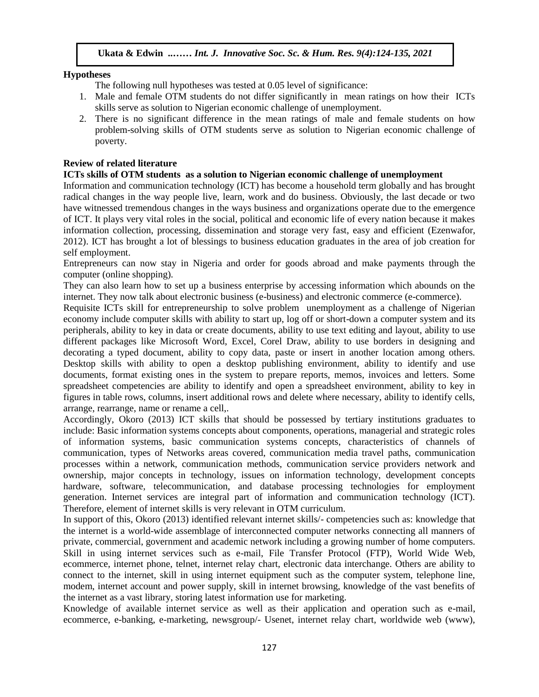#### **Hypotheses**

The following null hypotheses was tested at 0.05 level of significance:

- 1. Male and female OTM students do not differ significantly in mean ratings on how their ICTs skills serve as solution to Nigerian economic challenge of unemployment.
- 2. There is no significant difference in the mean ratings of male and female students on how problem-solving skills of OTM students serve as solution to Nigerian economic challenge of poverty.

#### **Review of related literature**

## ICTs skills of OTM students as a solution to Nigerian economic challenge of unemployment

Information and communication technology (ICT) has become a household term globally and has brought radical changes in the way people live, learn, work and do business. Obviously, the last decade or two have witnessed tremendous changes in the ways business and organizations operate due to the emergence of ICT. It plays very vital roles in the social, political and economic life of every nation because it makes information collection, processing, dissemination and storage very fast, easy and efficient (Ezenwafor, 2012). ICT has brought a lot of blessings to business education graduates in the area of job creation for self employment.

Entrepreneurs can now stay in Nigeria and order for goods abroad and make payments through the computer (online shopping).

They can also learn how to set up a business enterprise by accessing information which abounds on the internet. They now talk about electronic business (e-business) and electronic commerce (e-commerce).

Requisite ICTs skill for entrepreneurship to solve problem unemployment as a challenge of Nigerian economy include computer skills with ability to start up, log off or short-down a computer system and its peripherals, ability to key in data or create documents, ability to use text editing and layout, ability to use different packages like Microsoft Word, Excel, Corel Draw, ability to use borders in designing and decorating a typed document, ability to copy data, paste or insert in another location among others. Desktop skills with ability to open a desktop publishing environment, ability to identify and use documents, format existing ones in the system to prepare reports, memos, invoices and letters. Some spreadsheet competencies are ability to identify and open a spreadsheet environment, ability to key in figures in table rows, columns, insert additional rows and delete where necessary, ability to identify cells, arrange, rearrange, name or rename a cell,.

Accordingly, Okoro (2013) ICT skills that should be possessed by tertiary institutions graduates to include: Basic information systems concepts about components, operations, managerial and strategic roles of information systems, basic communication systems concepts, characteristics of channels of communication, types of Networks areas covered, communication media travel paths, communication processes within a network, communication methods, communication service providers network and ownership, major concepts in technology, issues on information technology, development concepts hardware, software, telecommunication, and database processing technologies for employment generation. Internet services are integral part of information and communication technology (ICT). Therefore, element of internet skills is very relevant in OTM curriculum.

In support of this, Okoro (2013) identified relevant internet skills/- competencies such as: knowledge that the internet is a world-wide assemblage of interconnected computer networks connecting all manners of private, commercial, government and academic network including a growing number of home computers. Skill in using internet services such as e-mail, File Transfer Protocol (FTP), World Wide Web, ecommerce, internet phone, telnet, internet relay chart, electronic data interchange. Others are ability to connect to the internet, skill in using internet equipment such as the computer system, telephone line, modem, internet account and power supply, skill in internet browsing, knowledge of the vast benefits of the internet as a vast library, storing latest information use for marketing.

Knowledge of available internet service as well as their application and operation such as e-mail, ecommerce, e-banking, e-marketing, newsgroup/- Usenet, internet relay chart, worldwide web (www),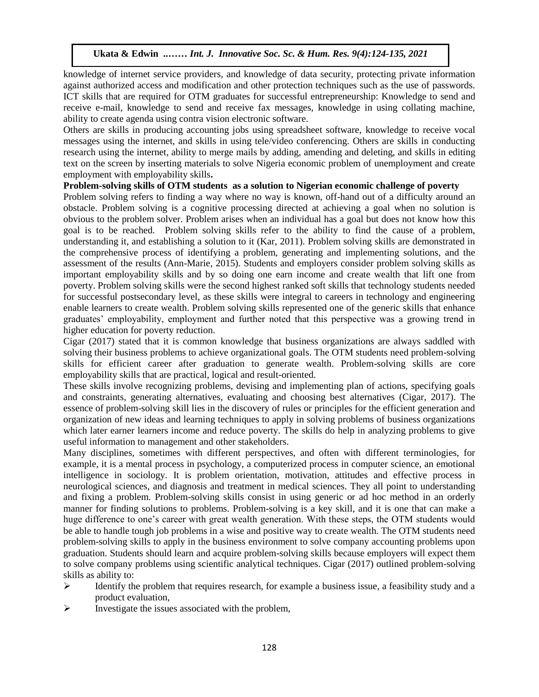knowledge of internet service providers, and knowledge of data security, protecting private information against authorized access and modification and other protection techniques such as the use of passwords. ICT skills that are required for OTM graduates for successful entrepreneurship: Knowledge to send and receive e-mail, knowledge to send and receive fax messages, knowledge in using collating machine, ability to create agenda using contra vision electronic software.

Others are skills in producing accounting jobs using spreadsheet software, knowledge to receive vocal messages using the internet, and skills in using tele/video conferencing. Others are skills in conducting research using the internet, ability to merge mails by adding, amending and deleting, and skills in editing text on the screen by inserting materials to solve Nigeria economic problem of unemployment and create employment with employability skills**.** Arugu and World employability skills.

#### **Problem-solving skills of OTM students as a solution to Nigerian economic challenge of poverty**

Problem solving refers to finding a way where no way is known, off-hand out of a difficulty around an obstacle. Problem solving is a cognitive processing directed at achieving a goal when no solution is obvious to the problem solver. Problem arises when an individual has a goal but does not know how this goal is to be reached. Problem solving skills refer to the ability to find the cause of a problem, understanding it, and establishing a solution to it (Kar, 2011). Problem solving skills are demonstrated in the comprehensive process of identifying a problem, generating and implementing solutions, and the assessment of the results (Ann-Marie, 2015). Students and employers consider problem solving skills as important employability skills and by so doing one earn income and create wealth that lift one from poverty. Problem solving skills were the second highest ranked soft skills that technology students needed for successful postsecondary level, as these skills were integral to careers in technology and engineering enable learners to create wealth. Problem solving skills represented one of the generic skills that enhance graduates' employability, employment and further noted that this perspective was a growing trend in higher education for poverty reduction.

Cigar (2017) stated that it is common knowledge that business organizations are always saddled with solving their business problems to achieve organizational goals. The OTM students need problem-solving limeskills for efficient career after graduation to generate wealth. Problem-solving skills are core employability skills that are practical, logical and result-oriented.

These skills involve recognizing problems, devising and implementing plan of actions, specifying goals and constraints, generating alternatives, evaluating and choosing best alternatives (Cigar, 2017). The essence of problem-solving skill lies in the discovery of rules or principles for the efficient generation and organization of new ideas and learning techniques to apply in solving problems of business organizations which later earner learners income and reduce poverty. The skills do help in analyzing problems to give useful information to management and other stakeholders.

Many disciplines, sometimes with different perspectives, and often with different terminologies, for example, it is a mental process in psychology, a computerized process in computer science, an emotional intelligence in sociology. It is problem orientation, motivation, attitudes and effective process in neurological sciences, and diagnosis and treatment in medical sciences. They all point to understanding and fixing a problem. Problem-solving skills consist in using generic or ad hoc method in an orderly manner for finding solutions to problems. Problem-solving is a key skill, and it is one that can make a huge difference to one's career with great wealth generation. With these steps, the OTM students would be able to handle tough job problems in a wise and positive way to create wealth. The OTM students need problem-solving skills to apply in the business environment to solve company accounting problems upon graduation. Students should learn and acquire problem-solving skills because employers will expect them to solve company problems using scientific analytical techniques. Cigar (2017) outlined problem-solving skills as ability to:

- $\triangleright$  Identify the problem that requires research, for example a business issue, a feasibility study and a product evaluation,
- $\triangleright$  Investigate the issues associated with the problem,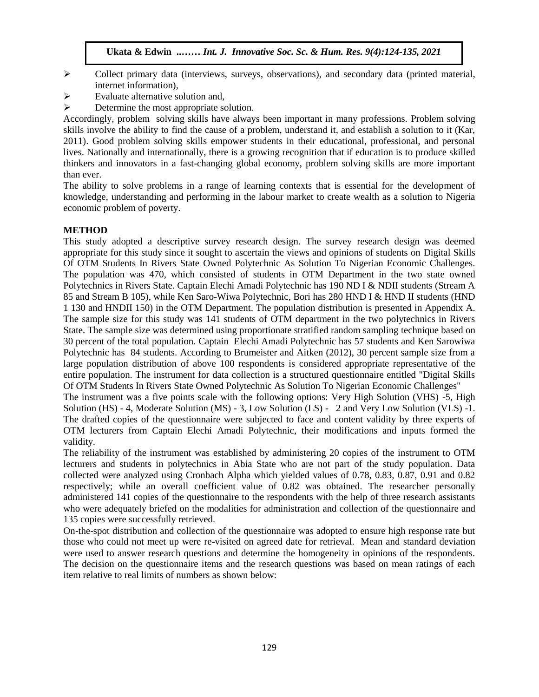- $\triangleright$  Collect primary data (interviews, surveys, observations), and secondary data (printed material, internet information),
- $\triangleright$  Evaluate alternative solution and,
- $\triangleright$  Determine the most appropriate solution.

Accordingly, problem solving skills have always been important in many professions. Problem solving skills involve the ability to find the cause of a problem, understand it, and establish a solution to it (Kar, 2011). Good problem solving skills empower students in their educational, professional, and personal lives. Nationally and internationally, there is a growing recognition that if education is to produce skilled thinkers and innovators in a fast-changing global economy, problem solving skills are more important than ever.  $\mathbb{R}$ r.  $\mathbb{R}$ 

The ability to solve problems in a range of learning contexts that is essential for the development of knowledge, understanding and performing in the labour market to create wealth as a solution to Nigeria economic problem of poverty.

#### **METHOD**

This study adopted a descriptive survey research design. The survey research design was deemed appropriate for this study since it sought to ascertain the views and opinions of students on Digital Skills Of OTM Students In Rivers State Owned Polytechnic As Solution To Nigerian Economic Challenges. The population was 470, which consisted of students in OTM Department in the two state owned Polytechnics in Rivers State. Captain Elechi Amadi Polytechnic has 190 ND I & NDII students (Stream A 85 and Stream B 105), while Ken Saro-Wiwa Polytechnic, Bori has 280 HND I & HND II students (HND 1 130 and HNDII 150) in the OTM Department. The population distribution is presented in Appendix A. The sample size for this study was 141 students of OTM department in the two polytechnics in Rivers State. The sample size was determined using proportionate stratified random sampling technique based on 30 percent of the total population. Captain Elechi Amadi Polytechnic has 57 students and Ken Sarowiwa Polytechnic has 84 students. According to Brumeister and Aitken (2012), 30 percent sample size from a large population distribution of above 100 respondents is considered appropriate representative of the entire population. The instrument for data collection is a structured questionnaire entitled "Digital Skills Of OTM Students In Rivers State Owned Polytechnic As Solution To Nigerian Economic Challenges"

The instrument was a five points scale with the following options: Very High Solution (VHS) -5, High Solution (HS) - 4, Moderate Solution (MS) - 3, Low Solution (LS) - 2 and Very Low Solution (VLS) -1. The drafted copies of the questionnaire were subjected to face and content validity by three experts of OTM lecturers from Captain Elechi Amadi Polytechnic, their modifications and inputs formed the validity.

The reliability of the instrument was established by administering 20 copies of the instrument to OTM lecturers and students in polytechnics in Abia State who are not part of the study population. Data collected were analyzed using Cronbach Alpha which yielded values of 0.78, 0.83, 0.87, 0.91 and 0.82 respectively; while an overall coefficient value of 0.82 was obtained. The researcher personally administered 141 copies of the questionnaire to the respondents with the help of three research assistants who were adequately briefed on the modalities for administration and collection of the questionnaire and 135 copies were successfully retrieved.

On-the-spot distribution and collection of the questionnaire was adopted to ensure high response rate but those who could not meet up were re-visited on agreed date for retrieval. Mean and standard deviation were used to answer research questions and determine the homogeneity in opinions of the respondents. The decision on the questionnaire items and the research questions was based on mean ratings of each item relative to real limits of numbers as shown below: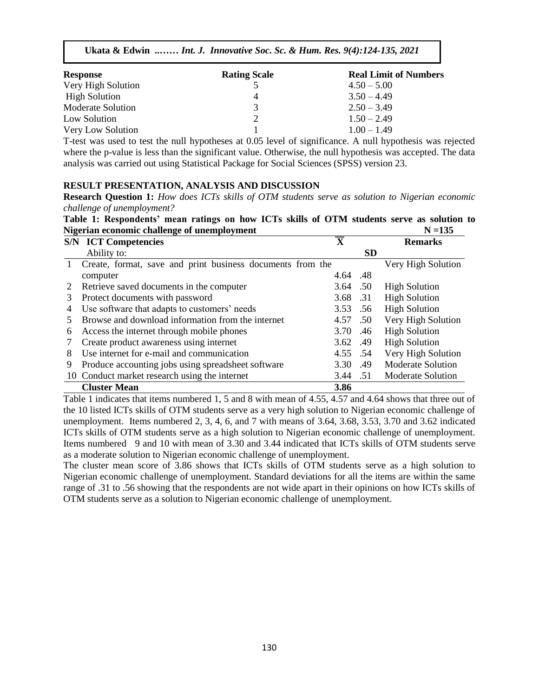| <b>Response</b>      | <b>Rating Scale</b> | <b>Real Limit of Numbers</b> |
|----------------------|---------------------|------------------------------|
| Very High Solution   |                     | $4.50 - 5.00$                |
| <b>High Solution</b> |                     | $3.50 - 4.49$                |
| Moderate Solution    |                     | $2.50 - 3.49$                |
| Low Solution         |                     | $1.50 - 2.49$                |
| Very Low Solution    |                     | $1.00 - 1.49$                |

T-test was used to test the null hypotheses at 0.05 level of significance. A null hypothesis was rejected where the p-value is less than the significant value. Otherwise, the null hypothesis was accepted. The data analysis was carried out using Statistical Package for Social Sciences (SPSS) version 23.

#### **RESULT PRESENTATION, ANALYSIS AND DISCUSSION**

**Research Question 1:** *How does ICTs skills of OTM students serve as solution to Nigerian economic challenge of unemployment?*

Table 1: Respondents' mean ratings on how ICTs skills of OTM students serve as solution to **Nigerian economic challenge of unemployment N**  $\leq$  135

|   | <b>S/N ICT Competencies</b>                                | $\overline{\mathbf{X}}$ |           | <b>Remarks</b>           |
|---|------------------------------------------------------------|-------------------------|-----------|--------------------------|
|   | Ability to:                                                |                         | <b>SD</b> |                          |
|   | Create, format, save and print business documents from the |                         |           | Very High Solution       |
|   | computer                                                   | 4.64 .48                |           |                          |
|   | Retrieve saved documents in the computer                   | 3.64 .50                |           | <b>High Solution</b>     |
| 3 | Protect documents with password                            | 3.68 .31                |           | <b>High Solution</b>     |
| 4 | Use software that adapts to customers' needs               | 3.53 .56                |           | <b>High Solution</b>     |
|   | Browse and download information from the internet          | 4.57 .50                |           | Very High Solution       |
| 6 | Access the internet through mobile phones                  | 3.70 .46                |           | <b>High Solution</b>     |
|   | Create product awareness using internet                    | 3.62 .49                |           | <b>High Solution</b>     |
| 8 | Use internet for e-mail and communication                  | 4.55 .54                |           | Very High Solution       |
| 9 | Produce accounting jobs using spreadsheet software         | 3.30 .49                |           | <b>Moderate Solution</b> |
|   | 10 Conduct market research using the internet              | 3.44 .51                |           | <b>Moderate Solution</b> |
|   | <b>Cluster Mean</b>                                        | 3.86                    |           |                          |

Table 1 indicates that items numbered 1, 5 and 8 with mean of 4.55, 4.57 and 4.64 shows that three out of the 10 listed ICTs skills of OTM students serve as a very high solution to Nigerian economic challenge of unemployment. Items numbered 2, 3, 4, 6, and 7 with means of 3.64, 3.68, 3.53, 3.70 and 3.62 indicated ICTs skills of OTM students serve as a high solution to Nigerian economic challenge of unemployment. Items numbered 9 and 10 with mean of 3.30 and 3.44 indicated that ICTs skills of OTM students serve as a moderate solution to Nigerian economic challenge of unemployment.

The cluster mean score of 3.86 shows that ICTs skills of OTM students serve as a high solution to Nigerian economic challenge of unemployment. Standard deviations for all the items are within the same range of .31 to .56 showing that the respondents are not wide apart in their opinions on how ICTs skills of OTM students serve as a solution to Nigerian economic challenge of unemployment.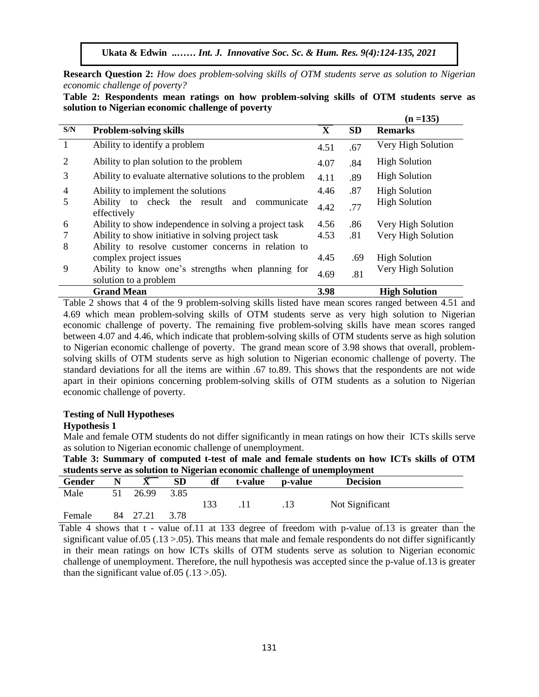**Ukata & Edwin ..……** *Int. J. Innovative Soc. Sc. & Hum. Res. 9(4):124-135, 2021*

**Research Question 2:** *How does problem-solving skills of OTM students serve as solution to Nigerian economic challenge of poverty?* 

**Table 2: Respondents mean ratings on how problem-solving skills of OTM students serve as solution to Nigerian economic challenge of poverty** 

|                |                                                                            |              |           | $(n = 135)$          |
|----------------|----------------------------------------------------------------------------|--------------|-----------|----------------------|
| S/N            | <b>Problem-solving skills</b>                                              | $\mathbf{X}$ | <b>SD</b> | <b>Remarks</b>       |
| $\mathbf{1}$   | Ability to identify a problem                                              | 4.51         | .67       | Very High Solution   |
| 2              | Ability to plan solution to the problem                                    | 4.07         | .84       | <b>High Solution</b> |
| 3              | Ability to evaluate alternative solutions to the problem                   | 4.11         | .89       | <b>High Solution</b> |
| $\overline{4}$ | Ability to implement the solutions                                         | 4.46         | .87       | <b>High Solution</b> |
| 5              | Ability to check the result and<br>communicate<br>effectively              | 4.42         | .77       | <b>High Solution</b> |
| 6              | Ability to show independence in solving a project task                     | 4.56         | .86       | Very High Solution   |
|                | Ability to show initiative in solving project task                         | 4.53         | .81       | Very High Solution   |
| 8              | Ability to resolve customer concerns in relation to                        |              |           |                      |
|                | complex project issues                                                     | 4.45         | .69       | <b>High Solution</b> |
| 9              | Ability to know one's strengths when planning for<br>solution to a problem | 4.69         | .81       | Very High Solution   |
|                | <b>Grand Mean</b>                                                          | 3.98         |           | <b>High Solution</b> |

Table 2 shows that 4 of the 9 problem-solving skills listed have mean scores ranged between 4.51 and and the mean problem-solving skills of OTM students serve as very high solution to Nigerian 4.69 which mean problem-solving skills of OTM students serve as very high solution to Nigerian economic challenge of poverty. The remaining five problem-solving skills have mean scores ranged between 4.07 and 4.46, which indicate that problem-solving skills of OTM students serve as high solution to Nigerian economic challenge of poverty. The grand mean score of 3.98 shows that overall, problemsolving skills of OTM students serve as high solution to Nigerian economic challenge of poverty. The standard deviations for all the items are within .67 to.89. This shows that the respondents are not wide apart in their opinions concerning problem-solving skills of OTM students as a solution to Nigerian economic challenge of poverty.

#### **Testing of Null Hypotheses**

#### **Hypothesis 1**

Male and female OTM students do not differ significantly in mean ratings on how their ICTs skills serve as solution to Nigerian economic challenge of unemployment.

**Table 3: Summary of computed t-test of male and female students on how ICTs skills of OTM students serve as solution to Nigerian economic challenge of unemployment**

|        |    |       | ິ         |     |         | $\cdot$ | .               |  |
|--------|----|-------|-----------|-----|---------|---------|-----------------|--|
| Gender |    |       | <b>SD</b> | df  | t-value | p-value | <b>Decision</b> |  |
| Male   |    | 26.99 | 3.85      |     |         |         |                 |  |
|        |    |       |           | 133 |         | .13     | Not Significant |  |
| Female | 84 | 27.21 | 3.78      |     |         |         |                 |  |

Table 4 shows that t - value of.11 at 133 degree of freedom with p-value of.13 is greater than the significant value of  $.05$  ( $.13$   $>$   $.05$ ). This means that male and female respondents do not differ significantly in their mean ratings on how ICTs skills of OTM students serve as solution to Nigerian economic challenge of unemployment. Therefore, the null hypothesis was accepted since the p-value of.13 is greater than the significant value of  $.05$  ( $.13$  $> .05$ ).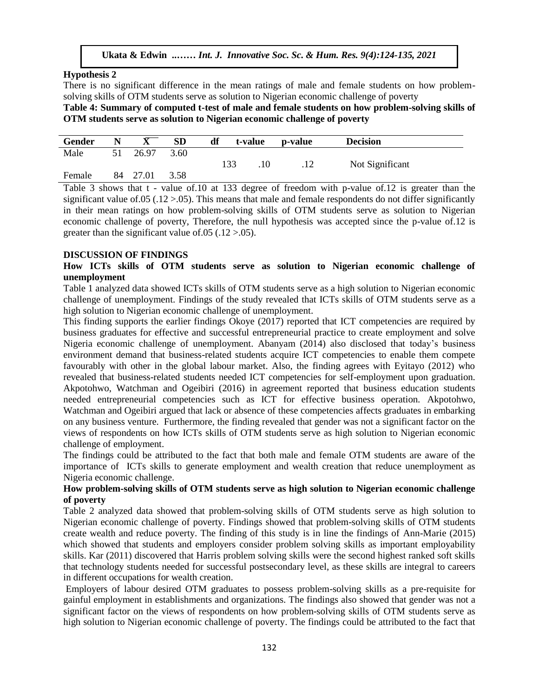#### **Hypothesis 2**

There is no significant difference in the mean ratings of male and female students on how problemsolving skills of OTM students serve as solution to Nigerian economic challenge of poverty

**Table 4: Summary of computed t-test of male and female students on how problem-solving skills of OTM students serve as solution to Nigerian economic challenge of poverty**

| Gender | N  |       | <b>SD</b> | df  | t-value | p-value | <b>Decision</b> |
|--------|----|-------|-----------|-----|---------|---------|-----------------|
| Male   | 51 | 26.97 | 3.60      | 133 | .10     | .12     | Not Significant |
| Female | 84 | 27.01 | 3.58      |     |         |         |                 |

Table 3 shows that t - value of.10 at 133 degree of freedom with p-value of.12 is greater than the significant value of.05 (.12  $> 0.05$ ). This means that male and female respondents do not differ significantly in their mean ratings on how problem-solving skills of OTM students serve as solution to Nigerian economic challenge of poverty, Therefore, the null hypothesis was accepted since the p-value of 12 is greater than the significant value of  $.05$  ( $.12$  $> 0.05$ ).

#### **DISCUSSION OF FINDINGS**

How ICTs skills of OTM students serve as solution to Nigerian economic challenge of **unemployment**

Table 1 analyzed data showed ICTs skills of OTM students serve as a high solution to Nigerian economic challenge of unemployment. Findings of the study revealed that ICTs skills of OTM students serve as a high solution to Nigerian economic challenge of unemployment.

This finding supports the earlier findings Okoye (2017) reported that ICT competencies are required by business graduates for effective and successful entrepreneurial practice to create employment and solve Nigeria economic challenge of unemployment. Abanyam (2014) also disclosed that today's business environment demand that business-related students acquire ICT competencies to enable them compete favourably with other in the global labour market. Also, the finding agrees with Eyitayo (2012) who revealed that business-related students needed ICT competencies for self-employment upon graduation. Akpotohwo, Watchman and Ogeibiri (2016) in agreement reported that business education students needed entrepreneurial competencies such as ICT for effective business operation. Akpotohwo, Watchman and Ogeibiri argued that lack or absence of these competencies affects graduates in embarking on any business venture. Furthermore, the finding revealed that gender was not a significant factor on the views of respondents on how ICTs skills of OTM students serve as high solution to Nigerian economic challenge of employment.

The findings could be attributed to the fact that both male and female OTM students are aware of the importance of ICTs skills to generate employment and wealth creation that reduce unemployment as Nigeria economic challenge.

#### **How problem-solving skills of OTM students serve as high solution to Nigerian economic challenge of poverty**

Table 2 analyzed data showed that problem-solving skills of OTM students serve as high solution to Nigerian economic challenge of poverty. Findings showed that problem-solving skills of OTM students create wealth and reduce poverty. The finding of this study is in line the findings of Ann-Marie (2015) which showed that students and employers consider problem solving skills as important employability skills. Kar (2011) discovered that Harris problem solving skills were the second highest ranked soft skills that technology students needed for successful postsecondary level, as these skills are integral to careers in different occupations for wealth creation.

Employers of labour desired OTM graduates to possess problem-solving skills as a pre-requisite for gainful employment in establishments and organizations. The findings also showed that gender was not a significant factor on the views of respondents on how problem-solving skills of OTM students serve as high solution to Nigerian economic challenge of poverty. The findings could be attributed to the fact that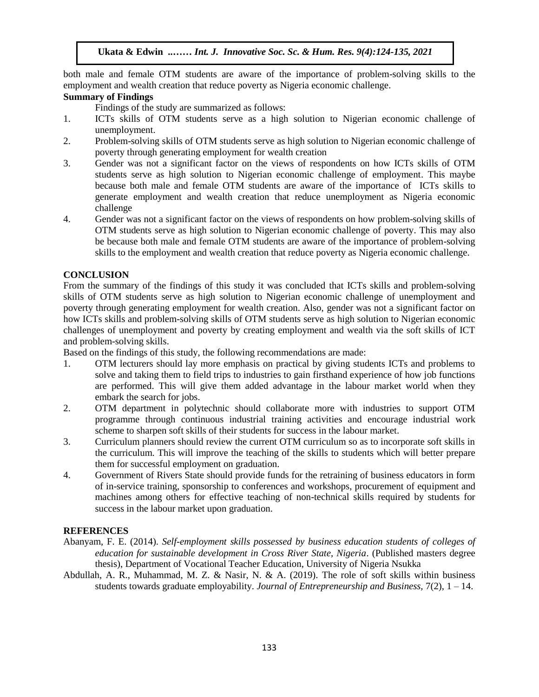both male and female OTM students are aware of the importance of problem-solving skills to the employment and wealth creation that reduce poverty as Nigeria economic challenge.

## **Summary of Findings**

Findings of the study are summarized as follows:

- 1. ICTs skills of OTM students serve as a high solution to Nigerian economic challenge of unemployment.
- 2. Problem-solving skills of OTM students serve as high solution to Nigerian economic challenge of poverty through generating employment for wealth creation
- 3. Gender was not a significant factor on the views of respondents on how ICTs skills of OTM students serve as high solution to Nigerian economic challenge of employment. This maybe because both male and female OTM students are aware of the importance of ICTs skills to generate employment and wealth creation that reduce unemployment as Nigeria economic challenge
- 4. Gender was not a significant factor on the views of respondents on how problem-solving skills of OTM students serve as high solution to Nigerian economic challenge of poverty. This may also be because both male and female OTM students are aware of the importance of problem-solving skills to the employment and wealth creation that reduce poverty as Nigeria economic challenge.

### **CONCLUSION**

From the summary of the findings of this study it was concluded that ICTs skills and problem-solving skills of OTM students serve as high solution to Nigerian economic challenge of unemployment and poverty through generating employment for wealth creation. Also, gender was not a significant factor on how ICTs skills and problem-solving skills of OTM students serve as high solution to Nigerian economic challenges of unemployment and poverty by creating employment and wealth via the soft skills of ICT and problem-solving skills.

Based on the findings of this study, the following recommendations are made:

- 1. OTM lecturers should lay more emphasis on practical by giving students ICTs and problems to solve and taking them to field trips to industries to gain firsthand experience of how job functions are performed. This will give them added advantage in the labour market world when they embark the search for jobs.
- 2. OTM department in polytechnic should collaborate more with industries to support OTM programme through continuous industrial training activities and encourage industrial work scheme to sharpen soft skills of their students for success in the labour market.
- 3. Curriculum planners should review the current OTM curriculum so as to incorporate soft skills in the curriculum. This will improve the teaching of the skills to students which will better prepare them for successful employment on graduation.
- 4. Government of Rivers State should provide funds for the retraining of business educators in form of in-service training, sponsorship to conferences and workshops, procurement of equipment and machines among others for effective teaching of non-technical skills required by students for success in the labour market upon graduation.

## **REFERENCES**

- Abanyam, F. E. (2014). *Self-employment skills possessed by business education students of colleges of education for sustainable development in Cross River State, Nigeria*. (Published masters degree thesis), Department of Vocational Teacher Education, University of Nigeria Nsukka
- Abdullah, A. R., Muhammad, M. Z. & Nasir, N. & A. (2019). The role of soft skills within business students towards graduate employability. *Journal of Entrepreneurship and Business,* 7(2), 1 – 14.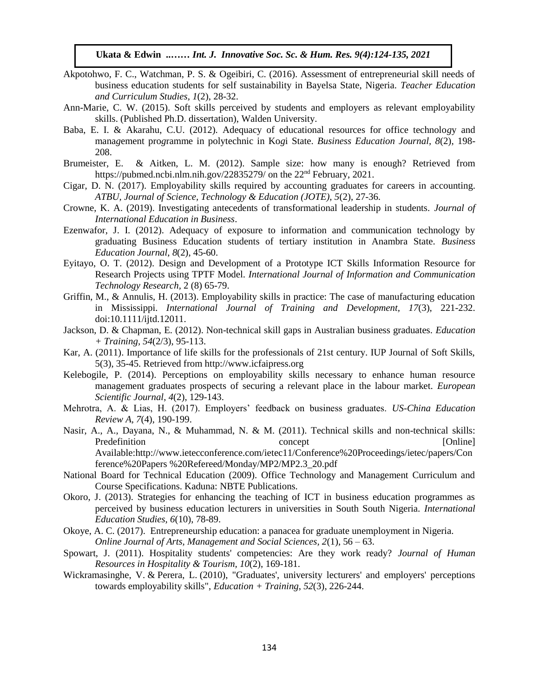- Akpotohwo, F. C., Watchman, P. S. & Ogeibiri, C. (2016). Assessment of entrepreneurial skill needs of business education students for self sustainability in Bayelsa State, Nigeria. *Teacher Education and Curriculum Studies, 1*(2), 28-32.
- Ann-Marie, C. W. (2015). Soft skills perceived by students and employers as relevant employability skills. (Published Ph.D. dissertation), Walden University.
- Baba, E. I. & Akarahu, C.U. (2012). Adequacy of educational resources for office technology and mana*g*ement pro*g*ramme in polytechnic in Ko*g*i State. *Business Education Journal, 8*(2), 198- 208.
- Brumeister, E. & Aitken, L. M. (2012). Sample size: how many is enough? Retrieved from <https://pubmed.ncbi.nlm.nih.gov/22835279/> on the  $22<sup>nd</sup>$  February, 2021.
- Cigar, D. N. (2017). Employability skills required by accounting graduates for careers in accounting. *ATBU, Journal of Science, Technology & Education (JOTE), 5*(2), 27-36.
- Crowne, K. A. (2019). Investigating antecedents of transformational leadership in students. *Journal of International Education in Business*.
- International Education in Business.<br>Ezenwafor, J. I. (2012). Adequacy of exposure to information and communication technology by graduating Business Education students of tertiary institution in Anambra State. *Business Education Journal*, *8*(2), 45-60.
- Eyitayo, O. T. (2012). Design and Development of a Prototype ICT Skills Information Resource for Research Projects using TPTF Model. *International Journal of Information and Communication Technology Research,* 2 (8) 65-79.
- Griffin, M., & Annulis, H. (2013). Employability skills in practice: The case of manufacturing education in Mississippi. *International Journal of Training and Development, 17(3), 221-232.*<br>
A 1110-1114 (112011) doi:10.1111/ijtd.12011.
- Jackson, D. & Chapman, E. (2012). Non-technical skill gaps in Australian business graduates. *Education + Training, 54*(2/3), 95-113.
- Kar, A. (2011). Importance of life skills for the professionals of 21st century. IUP Journal of Soft Skills, 5(3), 35-45. Retrieved from http://www.icfaipress.org
- Kelebogile, P. (2014). Perceptions on employability skills necessary to enhance human resource management graduates prospects of securing a relevant place in the labour market. *European Scientific Journal*, *4*(2), 129-143.
- Mehrotra, A. & Lias, H. (2017). Employers' feedback on business graduates. *US-China Education Review A, 7*(4), 190-199.
- Nasir, A., A., Dayana, N., & Muhammad, N. & M. (2011). Technical skills and non-technical skills: Predefinition concept [Online] Available[:http://www.ietecconference.com/ietec11/Conference%20Proceedings/ietec/papers/Con](http://www.ietecconference.com/ietec11/Conference%20Proceedings/ietec/papers/Conference%20Papers) [ference%20Papers](http://www.ietecconference.com/ietec11/Conference%20Proceedings/ietec/papers/Conference%20Papers) %20Refereed/Monday/MP2/MP2.3\_20.pdf
- National Board for Technical Education (2009). Office Technology and Management Curriculum and Course Specifications. Kaduna: NBTE Publications.
- Okoro, J. (2013). Strategies for enhancing the teaching of ICT in business education programmes as perceived by business education lecturers in universities in South South Nigeria. *International Education Studies, 6*(10), 78-89.
- Okoye, A. C. (2017). Entrepreneurship education: a panacea for graduate unemployment in Nigeria. *Online Journal of Arts, Management and Social Sciences, 2*(1), 56 – 63.
- Spowart, J. (2011). Hospitality students' competencies: Are they work ready? *Journal of Human Resources in Hospitality & Tourism, 10*(2), 169-181.
- [Wickramasinghe, V.](https://www.emerald.com/insight/search?q=Vathsala%20Wickramasinghe) & [Perera, L.](https://www.emerald.com/insight/search?q=Lasantha%20Perera) (2010), "Graduates', university lecturers' and employers' perceptions towards employability skills", *[Education + Training](https://www.emerald.com/insight/publication/issn/0040-0912)*, *52*(3), 226-244.